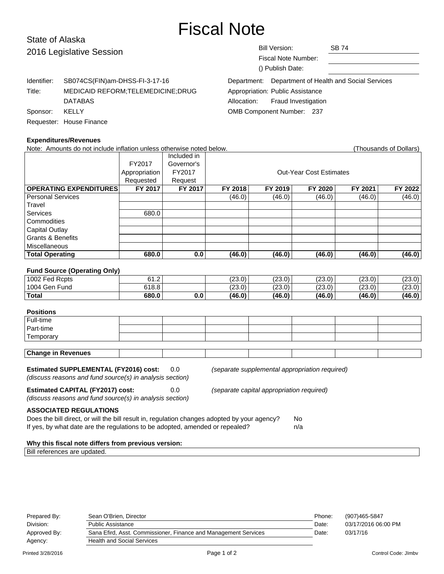# Fiscal Note

# State of Alaska 2016 Legislat

| 2016 Legislative Session |                                                                                         | <b>Bill Version:</b><br><b>SB 74</b><br>Fiscal Note Number:<br>() Publish Date:                                                       |  |
|--------------------------|-----------------------------------------------------------------------------------------|---------------------------------------------------------------------------------------------------------------------------------------|--|
| Identifier:<br>Title:    | SB074CS(FIN)am-DHSS-FI-3-17-16<br>MEDICAID REFORM; TELEMEDICINE; DRUG<br><b>DATABAS</b> | Department: Department of Health and Social Services<br>Appropriation: Public Assistance<br><b>Fraud Investigation</b><br>Allocation: |  |
| Sponsor:                 | KELLY<br>Requester: House Finance                                                       | OMB Component Number: 237                                                                                                             |  |

| <b>Expenditures/Revenues</b>                                                                 |               |                                           |         |                                                |                                |         |                        |
|----------------------------------------------------------------------------------------------|---------------|-------------------------------------------|---------|------------------------------------------------|--------------------------------|---------|------------------------|
| Note: Amounts do not include inflation unless otherwise noted below.                         |               |                                           |         |                                                |                                |         | (Thousands of Dollars) |
|                                                                                              |               | Included in                               |         |                                                |                                |         |                        |
|                                                                                              | FY2017        | Governor's                                |         |                                                |                                |         |                        |
|                                                                                              | Appropriation | FY2017                                    |         |                                                | <b>Out-Year Cost Estimates</b> |         |                        |
|                                                                                              | Requested     | Request                                   |         |                                                |                                |         |                        |
| <b>OPERATING EXPENDITURES</b>                                                                | FY 2017       | FY 2017                                   | FY 2018 | FY 2019                                        | FY 2020                        | FY 2021 | FY 2022                |
| <b>Personal Services</b>                                                                     |               |                                           | (46.0)  | (46.0)                                         | (46.0)                         | (46.0)  | (46.0)                 |
| Travel                                                                                       |               |                                           |         |                                                |                                |         |                        |
| <b>Services</b>                                                                              | 680.0         |                                           |         |                                                |                                |         |                        |
| Commodities                                                                                  |               |                                           |         |                                                |                                |         |                        |
| <b>Capital Outlay</b>                                                                        |               |                                           |         |                                                |                                |         |                        |
| <b>Grants &amp; Benefits</b>                                                                 |               |                                           |         |                                                |                                |         |                        |
| Miscellaneous                                                                                |               |                                           |         |                                                |                                |         |                        |
| <b>Total Operating</b>                                                                       | 680.0         | 0.0                                       | (46.0)  | (46.0)                                         | (46.0)                         | (46.0)  | (46.0)                 |
|                                                                                              |               |                                           |         |                                                |                                |         |                        |
| <b>Fund Source (Operating Only)</b>                                                          |               |                                           |         |                                                |                                |         |                        |
| 1002 Fed Rcpts                                                                               | 61.2          |                                           | (23.0)  | (23.0)                                         | (23.0)                         | (23.0)  | (23.0)                 |
| 1004 Gen Fund                                                                                | 618.8         |                                           | (23.0)  | (23.0)                                         | (23.0)                         | (23.0)  | (23.0)                 |
| <b>Total</b>                                                                                 | 680.0         | 0.0                                       | (46.0)  | (46.0)                                         | (46.0)                         | (46.0)  | (46.0)                 |
|                                                                                              |               |                                           |         |                                                |                                |         |                        |
| <b>Positions</b>                                                                             |               |                                           |         |                                                |                                |         |                        |
| Full-time                                                                                    |               |                                           |         |                                                |                                |         |                        |
| Part-time                                                                                    |               |                                           |         |                                                |                                |         |                        |
| Temporary                                                                                    |               |                                           |         |                                                |                                |         |                        |
|                                                                                              |               |                                           |         |                                                |                                |         |                        |
| <b>Change in Revenues</b>                                                                    |               |                                           |         |                                                |                                |         |                        |
|                                                                                              |               |                                           |         |                                                |                                |         |                        |
| <b>Estimated SUPPLEMENTAL (FY2016) cost:</b>                                                 |               | 0.0                                       |         | (separate supplemental appropriation required) |                                |         |                        |
| (discuss reasons and fund source(s) in analysis section)                                     |               |                                           |         |                                                |                                |         |                        |
| <b>Estimated CAPITAL (FY2017) cost:</b>                                                      | 0.0           | (separate capital appropriation required) |         |                                                |                                |         |                        |
| (discuss reasons and fund source(s) in analysis section)                                     |               |                                           |         |                                                |                                |         |                        |
|                                                                                              |               |                                           |         |                                                |                                |         |                        |
| <b>ASSOCIATED REGULATIONS</b>                                                                |               |                                           |         |                                                |                                |         |                        |
| Does the bill direct, or will the bill result in, regulation changes adopted by your agency? |               |                                           |         |                                                | No.                            |         |                        |
| If yes, by what date are the regulations to be adopted, amended or repealed?                 |               |                                           |         |                                                | n/a                            |         |                        |

### **Why this fiscal note differs from previous version:**

Bill references are updated.

| Prepared By: | Sean O'Brien, Director                                          | Phone: | (907)465-5847       |
|--------------|-----------------------------------------------------------------|--------|---------------------|
| Division:    | Public Assistance                                               | Date:  | 03/17/2016 06:00 PM |
| Approved By: | Sana Efird, Asst. Commissioner, Finance and Management Services | Date:  | 03/17/16            |
| Agency:      | <b>Health and Social Services</b>                               |        |                     |
|              |                                                                 |        |                     |